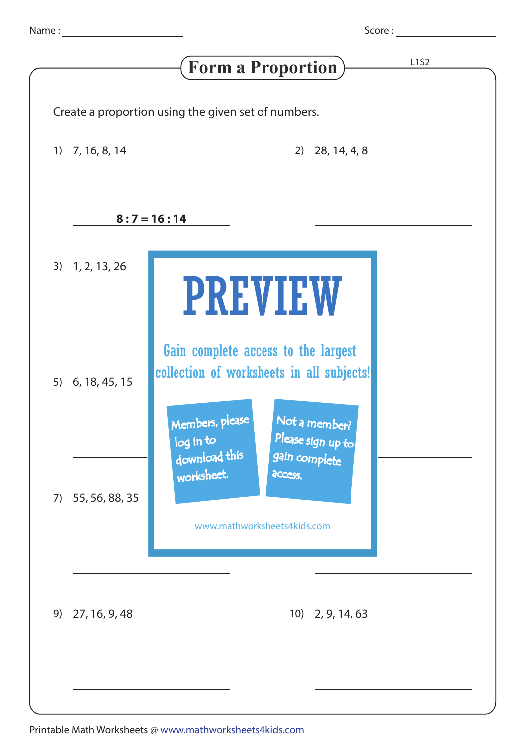